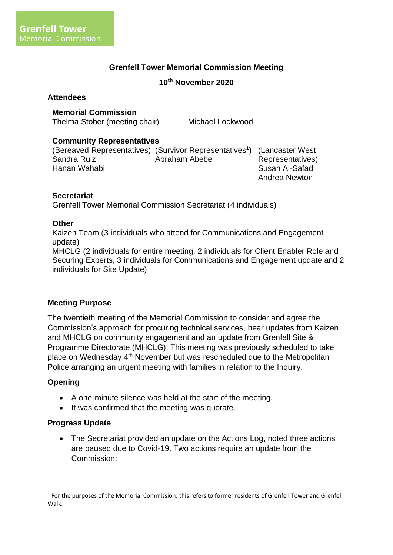## **Grenfell Tower Memorial Commission Meeting**

#### **10 th November 2020**

#### **Attendees**

#### **Memorial Commission**

Thelma Stober (meeting chair) Michael Lockwood

#### **Community Representatives**

(Bereaved Representatives) (Survivor Representatives<sup>1</sup>) (Lancaster West Sandra Ruiz Hanan Wahabi Abraham Abebe Representatives) Susan Al-Safadi Andrea Newton

### **Secretariat**

Grenfell Tower Memorial Commission Secretariat (4 individuals)

#### **Other**

Kaizen Team (3 individuals who attend for Communications and Engagement update)

MHCLG (2 individuals for entire meeting, 2 individuals for Client Enabler Role and Securing Experts, 3 individuals for Communications and Engagement update and 2 individuals for Site Update)

#### **Meeting Purpose**

The twentieth meeting of the Memorial Commission to consider and agree the Commission's approach for procuring technical services, hear updates from Kaizen and MHCLG on community engagement and an update from Grenfell Site & Programme Directorate (MHCLG). This meeting was previously scheduled to take place on Wednesday 4th November but was rescheduled due to the Metropolitan Police arranging an urgent meeting with families in relation to the Inquiry.

#### **Opening**

- A one-minute silence was held at the start of the meeting.
- It was confirmed that the meeting was quorate.

#### **Progress Update**

• The Secretariat provided an update on the Actions Log, noted three actions are paused due to Covid-19. Two actions require an update from the Commission:

<sup>&</sup>lt;sup>1</sup> For the purposes of the Memorial Commission, this refers to former residents of Grenfell Tower and Grenfell Walk.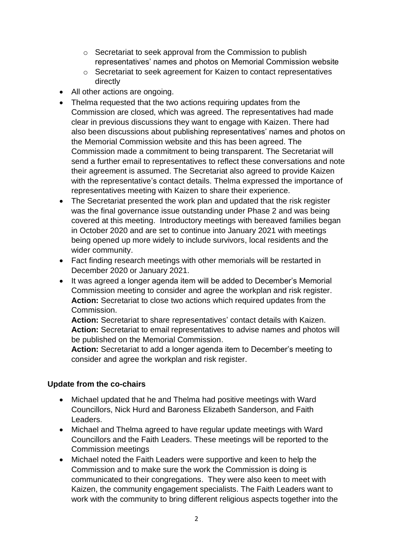- o Secretariat to seek approval from the Commission to publish representatives' names and photos on Memorial Commission website
- o Secretariat to seek agreement for Kaizen to contact representatives directly
- All other actions are ongoing.
- Thelma requested that the two actions requiring updates from the Commission are closed, which was agreed. The representatives had made clear in previous discussions they want to engage with Kaizen. There had also been discussions about publishing representatives' names and photos on the Memorial Commission website and this has been agreed. The Commission made a commitment to being transparent. The Secretariat will send a further email to representatives to reflect these conversations and note their agreement is assumed. The Secretariat also agreed to provide Kaizen with the representative's contact details. Thelma expressed the importance of representatives meeting with Kaizen to share their experience.
- The Secretariat presented the work plan and updated that the risk register was the final governance issue outstanding under Phase 2 and was being covered at this meeting. Introductory meetings with bereaved families began in October 2020 and are set to continue into January 2021 with meetings being opened up more widely to include survivors, local residents and the wider community.
- Fact finding research meetings with other memorials will be restarted in December 2020 or January 2021.
- It was agreed a longer agenda item will be added to December's Memorial Commission meeting to consider and agree the workplan and risk register. **Action:** Secretariat to close two actions which required updates from the Commission.

**Action:** Secretariat to share representatives' contact details with Kaizen. **Action:** Secretariat to email representatives to advise names and photos will be published on the Memorial Commission.

**Action:** Secretariat to add a longer agenda item to December's meeting to consider and agree the workplan and risk register.

# **Update from the co-chairs**

- Michael updated that he and Thelma had positive meetings with Ward Councillors, Nick Hurd and Baroness Elizabeth Sanderson, and Faith Leaders.
- Michael and Thelma agreed to have regular update meetings with Ward Councillors and the Faith Leaders. These meetings will be reported to the Commission meetings
- Michael noted the Faith Leaders were supportive and keen to help the Commission and to make sure the work the Commission is doing is communicated to their congregations. They were also keen to meet with Kaizen, the community engagement specialists. The Faith Leaders want to work with the community to bring different religious aspects together into the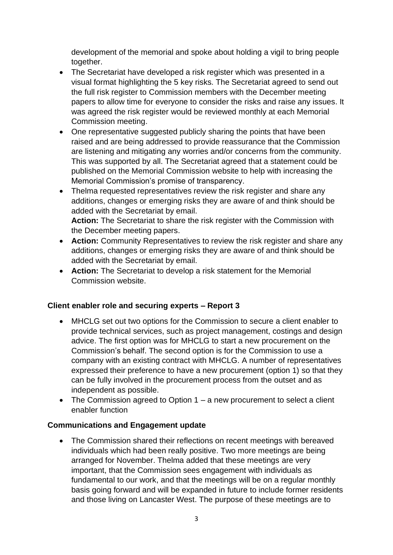development of the memorial and spoke about holding a vigil to bring people together.

- The Secretariat have developed a risk register which was presented in a visual format highlighting the 5 key risks. The Secretariat agreed to send out the full risk register to Commission members with the December meeting papers to allow time for everyone to consider the risks and raise any issues. It was agreed the risk register would be reviewed monthly at each Memorial Commission meeting.
- One representative suggested publicly sharing the points that have been raised and are being addressed to provide reassurance that the Commission are listening and mitigating any worries and/or concerns from the community. This was supported by all. The Secretariat agreed that a statement could be published on the Memorial Commission website to help with increasing the Memorial Commission's promise of transparency.
- Thelma requested representatives review the risk register and share any additions, changes or emerging risks they are aware of and think should be added with the Secretariat by email. **Action:** The Secretariat to share the risk register with the Commission with
- the December meeting papers. • **Action:** Community Representatives to review the risk register and share any additions, changes or emerging risks they are aware of and think should be added with the Secretariat by email.
- **Action:** The Secretariat to develop a risk statement for the Memorial Commission website.

# **Client enabler role and securing experts – Report 3**

- MHCLG set out two options for the Commission to secure a client enabler to provide technical services, such as project management, costings and design advice. The first option was for MHCLG to start a new procurement on the Commission's behalf. The second option is for the Commission to use a company with an existing contract with MHCLG. A number of representatives expressed their preference to have a new procurement (option 1) so that they can be fully involved in the procurement process from the outset and as independent as possible.
- The Commission agreed to Option 1 a new procurement to select a client enabler function

# **Communications and Engagement update**

• The Commission shared their reflections on recent meetings with bereaved individuals which had been really positive. Two more meetings are being arranged for November. Thelma added that these meetings are very important, that the Commission sees engagement with individuals as fundamental to our work, and that the meetings will be on a regular monthly basis going forward and will be expanded in future to include former residents and those living on Lancaster West. The purpose of these meetings are to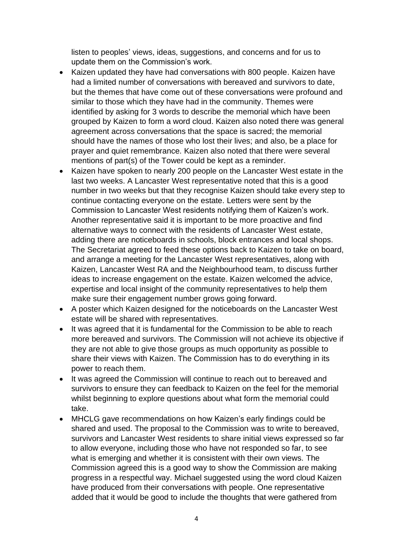listen to peoples' views, ideas, suggestions, and concerns and for us to update them on the Commission's work.

- Kaizen updated they have had conversations with 800 people. Kaizen have had a limited number of conversations with bereaved and survivors to date, but the themes that have come out of these conversations were profound and similar to those which they have had in the community. Themes were identified by asking for 3 words to describe the memorial which have been grouped by Kaizen to form a word cloud. Kaizen also noted there was general agreement across conversations that the space is sacred; the memorial should have the names of those who lost their lives; and also, be a place for prayer and quiet remembrance. Kaizen also noted that there were several mentions of part(s) of the Tower could be kept as a reminder.
- Kaizen have spoken to nearly 200 people on the Lancaster West estate in the last two weeks. A Lancaster West representative noted that this is a good number in two weeks but that they recognise Kaizen should take every step to continue contacting everyone on the estate. Letters were sent by the Commission to Lancaster West residents notifying them of Kaizen's work. Another representative said it is important to be more proactive and find alternative ways to connect with the residents of Lancaster West estate, adding there are noticeboards in schools, block entrances and local shops. The Secretariat agreed to feed these options back to Kaizen to take on board, and arrange a meeting for the Lancaster West representatives, along with Kaizen, Lancaster West RA and the Neighbourhood team, to discuss further ideas to increase engagement on the estate. Kaizen welcomed the advice, expertise and local insight of the community representatives to help them make sure their engagement number grows going forward.
- A poster which Kaizen designed for the noticeboards on the Lancaster West estate will be shared with representatives.
- It was agreed that it is fundamental for the Commission to be able to reach more bereaved and survivors. The Commission will not achieve its objective if they are not able to give those groups as much opportunity as possible to share their views with Kaizen. The Commission has to do everything in its power to reach them.
- It was agreed the Commission will continue to reach out to bereaved and survivors to ensure they can feedback to Kaizen on the feel for the memorial whilst beginning to explore questions about what form the memorial could take.
- MHCLG gave recommendations on how Kaizen's early findings could be shared and used. The proposal to the Commission was to write to bereaved, survivors and Lancaster West residents to share initial views expressed so far to allow everyone, including those who have not responded so far, to see what is emerging and whether it is consistent with their own views. The Commission agreed this is a good way to show the Commission are making progress in a respectful way. Michael suggested using the word cloud Kaizen have produced from their conversations with people. One representative added that it would be good to include the thoughts that were gathered from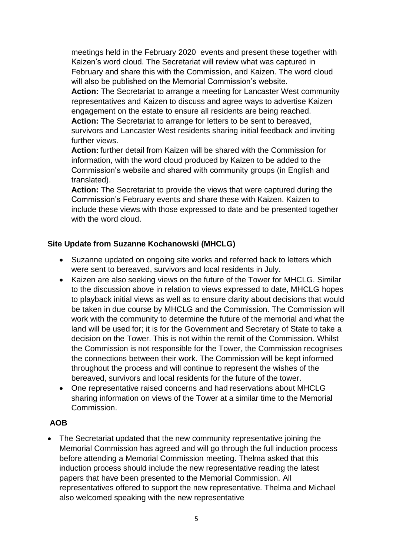meetings held in the February 2020 events and present these together with Kaizen's word cloud. The Secretariat will review what was captured in February and share this with the Commission, and Kaizen. The word cloud will also be published on the Memorial Commission's website.

**Action:** The Secretariat to arrange a meeting for Lancaster West community representatives and Kaizen to discuss and agree ways to advertise Kaizen engagement on the estate to ensure all residents are being reached.

**Action:** The Secretariat to arrange for letters to be sent to bereaved, survivors and Lancaster West residents sharing initial feedback and inviting further views.

**Action:** further detail from Kaizen will be shared with the Commission for information, with the word cloud produced by Kaizen to be added to the Commission's website and shared with community groups (in English and translated).

**Action:** The Secretariat to provide the views that were captured during the Commission's February events and share these with Kaizen. Kaizen to include these views with those expressed to date and be presented together with the word cloud.

## **Site Update from Suzanne Kochanowski (MHCLG)**

- Suzanne updated on ongoing site works and referred back to letters which were sent to bereaved, survivors and local residents in July.
- Kaizen are also seeking views on the future of the Tower for MHCLG. Similar to the discussion above in relation to views expressed to date, MHCLG hopes to playback initial views as well as to ensure clarity about decisions that would be taken in due course by MHCLG and the Commission. The Commission will work with the community to determine the future of the memorial and what the land will be used for; it is for the Government and Secretary of State to take a decision on the Tower. This is not within the remit of the Commission. Whilst the Commission is not responsible for the Tower, the Commission recognises the connections between their work. The Commission will be kept informed throughout the process and will continue to represent the wishes of the bereaved, survivors and local residents for the future of the tower.
- One representative raised concerns and had reservations about MHCLG sharing information on views of the Tower at a similar time to the Memorial Commission.

## **AOB**

• The Secretariat updated that the new community representative joining the Memorial Commission has agreed and will go through the full induction process before attending a Memorial Commission meeting. Thelma asked that this induction process should include the new representative reading the latest papers that have been presented to the Memorial Commission. All representatives offered to support the new representative. Thelma and Michael also welcomed speaking with the new representative